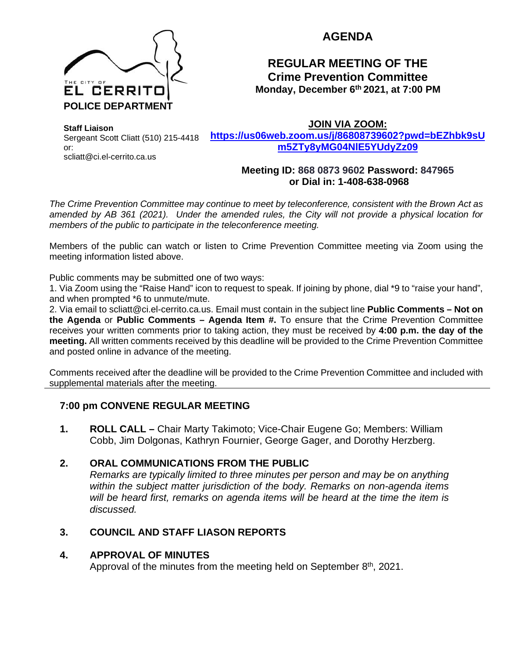

# **AGENDA**

# **REGULAR MEETING OF THE Crime Prevention Committee Monday, December 6th 2021, at 7:00 PM**

**Staff Liaison** Sergeant Scott Cliatt (510) 215-4418 or: scliatt@ci.el-cerrito.ca.us

**JOIN VIA ZOOM:** 

**[https://us06web.zoom.us/j/86808739602?pwd=bEZhbk9sU](https://us06web.zoom.us/j/86808739602?pwd=bEZhbk9sUm5ZTy8yMG04NlE5YUdyZz09) [m5ZTy8yMG04NlE5YUdyZz09](https://us06web.zoom.us/j/86808739602?pwd=bEZhbk9sUm5ZTy8yMG04NlE5YUdyZz09)**

### **Meeting ID: 868 0873 9602 Password: 847965 or Dial in: 1-408-638-0968**

*The Crime Prevention Committee may continue to meet by teleconference, consistent with the Brown Act as amended by AB 361 (2021). Under the amended rules, the City will not provide a physical location for members of the public to participate in the teleconference meeting.* 

Members of the public can watch or listen to Crime Prevention Committee meeting via Zoom using the meeting information listed above.

Public comments may be submitted one of two ways:

1. Via Zoom using the "Raise Hand" icon to request to speak. If joining by phone, dial \*9 to "raise your hand", and when prompted \*6 to unmute/mute.

2. Via email to scliatt@ci.el-cerrito.ca.us. Email must contain in the subject line **Public Comments – Not on the Agenda** or **Public Comments – Agenda Item #.** To ensure that the Crime Prevention Committee receives your written comments prior to taking action, they must be received by **4:00 p.m. the day of the meeting.** All written comments received by this deadline will be provided to the Crime Prevention Committee and posted online in advance of the meeting.

Comments received after the deadline will be provided to the Crime Prevention Committee and included with supplemental materials after the meeting.

## **7:00 pm CONVENE REGULAR MEETING**

**1. ROLL CALL –** Chair Marty Takimoto; Vice-Chair Eugene Go; Members: William Cobb, Jim Dolgonas, Kathryn Fournier, George Gager, and Dorothy Herzberg.

### **2. ORAL COMMUNICATIONS FROM THE PUBLIC**

*Remarks are typically limited to three minutes per person and may be on anything within the subject matter jurisdiction of the body. Remarks on non-agenda items will be heard first, remarks on agenda items will be heard at the time the item is discussed.* 

## **3. COUNCIL AND STAFF LIASON REPORTS**

### **4. APPROVAL OF MINUTES**

Approval of the minutes from the meeting held on September  $8<sup>th</sup>$ , 2021.